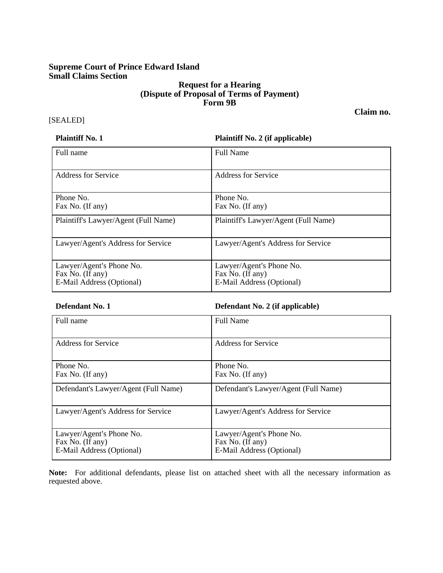# **Supreme Court of Prince Edward Island Small Claims Section**

## **Request for a Hearing (Dispute of Proposal of Terms of Payment) Form 9B**

# [SEALED]

### **Plaintiff No. 1 Plaintiff No. 2 (if applicable)**

| Full name                                                                 | Full Name                                                                 |
|---------------------------------------------------------------------------|---------------------------------------------------------------------------|
| Address for Service                                                       | <b>Address for Service</b>                                                |
| Phone No.<br>Fax No. (If any)                                             | Phone No.<br>Fax No. (If any)                                             |
| Plaintiff's Lawyer/Agent (Full Name)                                      | Plaintiff's Lawyer/Agent (Full Name)                                      |
| Lawyer/Agent's Address for Service                                        | Lawyer/Agent's Address for Service                                        |
| Lawyer/Agent's Phone No.<br>Fax No. (If any)<br>E-Mail Address (Optional) | Lawyer/Agent's Phone No.<br>Fax No. (If any)<br>E-Mail Address (Optional) |

## **Defendant No. 1 Defendant No. 2 (if applicable)**

| Full name                                                                 | <b>Full Name</b>                                                          |
|---------------------------------------------------------------------------|---------------------------------------------------------------------------|
| Address for Service                                                       | Address for Service                                                       |
| Phone No.<br>Fax No. (If any)                                             | Phone No.<br>Fax No. (If any)                                             |
| Defendant's Lawyer/Agent (Full Name)                                      | Defendant's Lawyer/Agent (Full Name)                                      |
| Lawyer/Agent's Address for Service                                        | Lawyer/Agent's Address for Service                                        |
| Lawyer/Agent's Phone No.<br>Fax No. (If any)<br>E-Mail Address (Optional) | Lawyer/Agent's Phone No.<br>Fax No. (If any)<br>E-Mail Address (Optional) |

**Note:** For additional defendants, please list on attached sheet with all the necessary information as requested above.

**Claim no.**